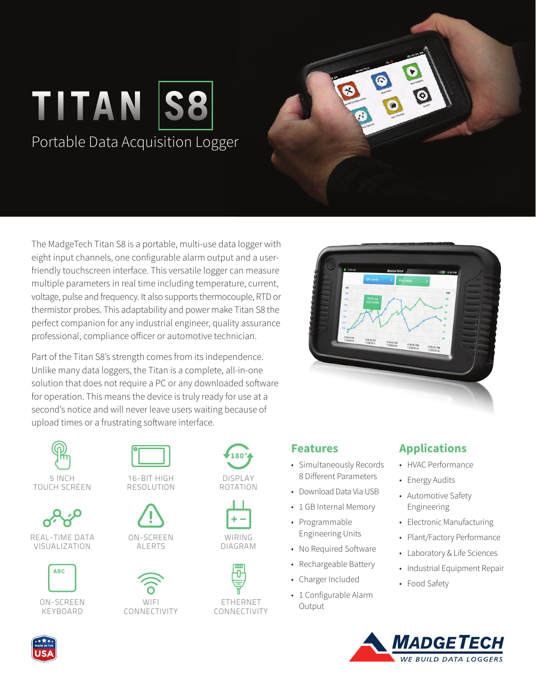



Part of the Titan S8's strength comes from its independence. Unlike many data loggers, the Titan is a complete, all-in-one solution that does not require a PC or any downloaded software for operation. This means the device is truly ready for use at a second's notice and will never leave users waiting because of upload times or a frustrating software interface.



TOUCH SCREEN



REAL-TIME DATA VISUALIZATION



ON-SCREEN KEYBOARD



RESOLUTION





DISPLAY ROTATION



**180°** 



## 8 Different Parameters • Download Data Via USB • 1 GB Internal Memory

• Programmable Engineering Units

**Features**

• No Required Software

• Simultaneously Records

- Rechargeable Battery
- Charger Included
- 1 Configurable Alarm Output

## **Applications**

- HVAC Performance
- Energy Audits
- Automotive Safety Engineering
- Electronic Manufacturing
- Plant/Factory Performance
- Laboratory & Life Sciences
- Industrial Equipment Repair
- Food Safety